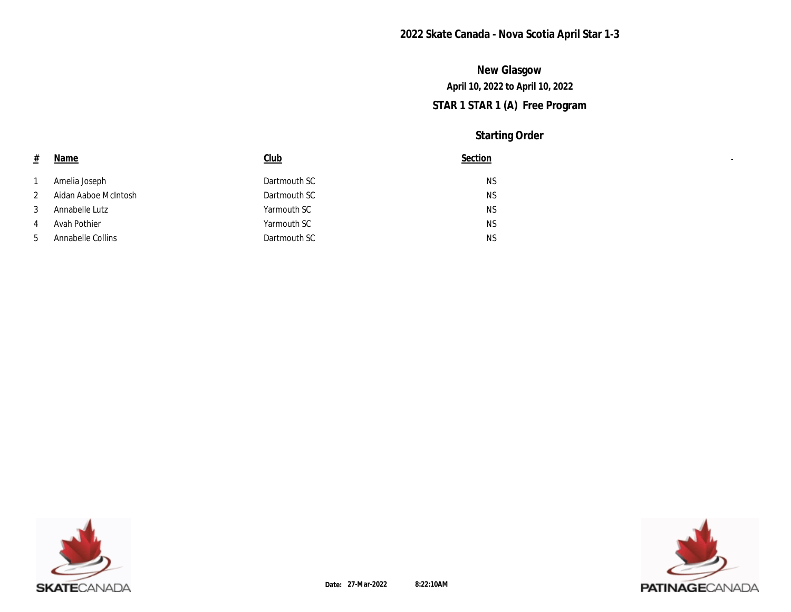# **STAR 1 STAR 1 (A) Free Program April 10, 2022 to April 10, 2022 New Glasgow**

| 坓            | <b>Name</b>          | <u>Club</u>  | Section   |
|--------------|----------------------|--------------|-----------|
|              | Amelia Joseph        | Dartmouth SC | <b>NS</b> |
| $\mathbf{2}$ | Aidan Aaboe McIntosh | Dartmouth SC | <b>NS</b> |
| 3            | Annabelle Lutz       | Yarmouth SC  | <b>NS</b> |
| 4            | Avah Pothier         | Yarmouth SC  | <b>NS</b> |
| 5            | Annabelle Collins    | Dartmouth SC | <b>NS</b> |



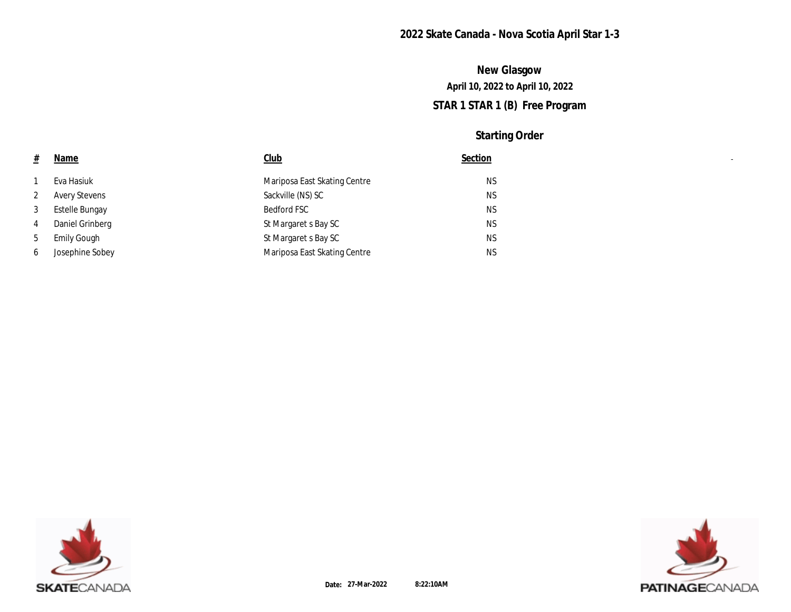# **STAR 1 STAR 1 (B) Free Program April 10, 2022 to April 10, 2022 New Glasgow**

| $\pm$        | <b>Name</b>           | $_{\text{Club}}$             | Section   |
|--------------|-----------------------|------------------------------|-----------|
|              | Eva Hasiuk            | Mariposa East Skating Centre | <b>NS</b> |
| $\mathbf{2}$ | <b>Avery Stevens</b>  | Sackville (NS) SC            | NS        |
| 3            | <b>Estelle Bungay</b> | <b>Bedford FSC</b>           | NS        |
| 4            | Daniel Grinberg       | St Margaret s Bay SC         | NS        |
| 5            | <b>Emily Gough</b>    | St Margaret s Bay SC         | NS        |
| 6            | Josephine Sobey       | Mariposa East Skating Centre | <b>NS</b> |



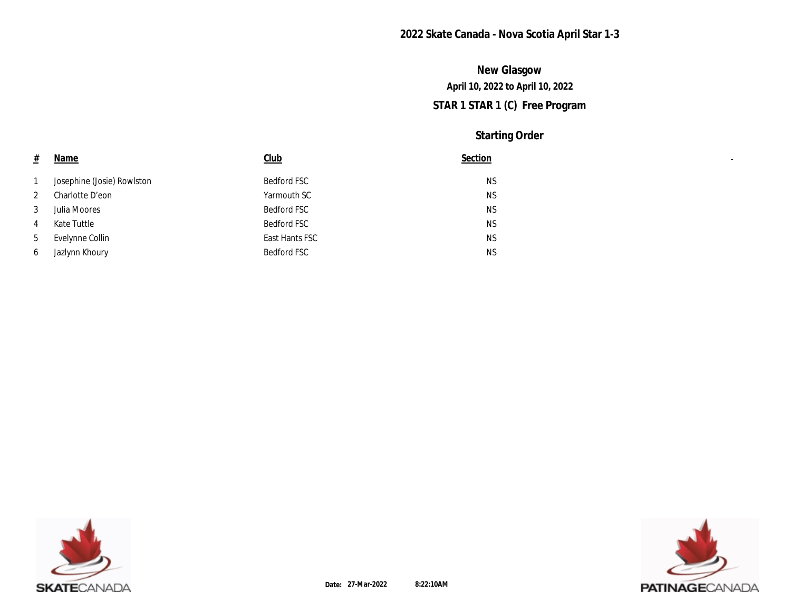# **STAR 1 STAR 1 (C) Free Program April 10, 2022 to April 10, 2022 New Glasgow**

| #            | <b>Name</b>                | Club           | Section   |
|--------------|----------------------------|----------------|-----------|
| $\mathbf{1}$ | Josephine (Josie) Rowlston | Bedford FSC    | <b>NS</b> |
| $\mathbf{2}$ | Charlotte D'eon            | Yarmouth SC    | <b>NS</b> |
| 3            | Julia Moores               | Bedford FSC    | <b>NS</b> |
| 4            | Kate Tuttle                | Bedford FSC    | <b>NS</b> |
| 5            | Evelynne Collin            | East Hants FSC | <b>NS</b> |
| 6            | Jazlynn Khoury             | Bedford FSC    | <b>NS</b> |



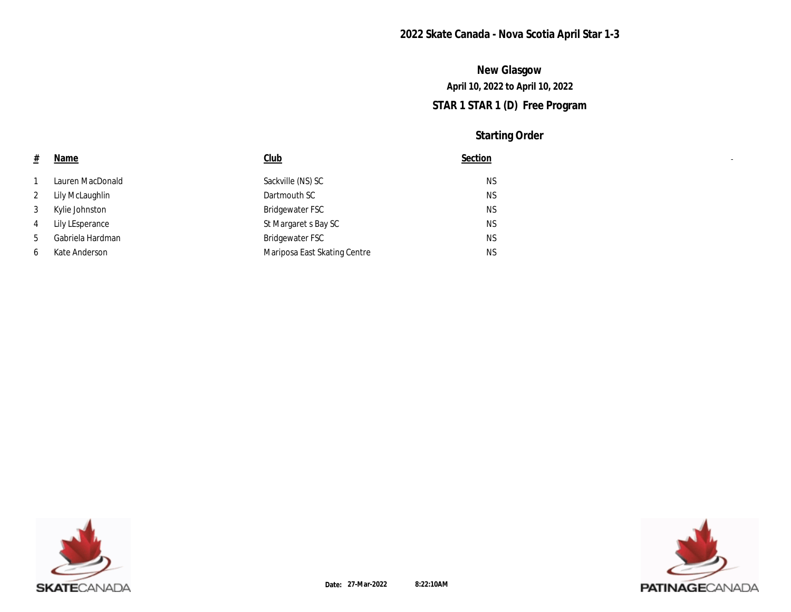# **STAR 1 STAR 1 (D) Free Program April 10, 2022 to April 10, 2022 New Glasgow**

| 坓            | <u>Name</u>      | Club                         | Section   |
|--------------|------------------|------------------------------|-----------|
|              | Lauren MacDonald | Sackville (NS) SC            | NS        |
| $\mathbf{2}$ | Lily McLaughlin  | Dartmouth SC                 | NS        |
| 3            | Kylie Johnston   | Bridgewater FSC              | NS        |
| 4            | Lily LEsperance  | St Margaret s Bay SC         | NS        |
| 5            | Gabriela Hardman | <b>Bridgewater FSC</b>       | NS        |
| 6            | Kate Anderson    | Mariposa East Skating Centre | <b>NS</b> |



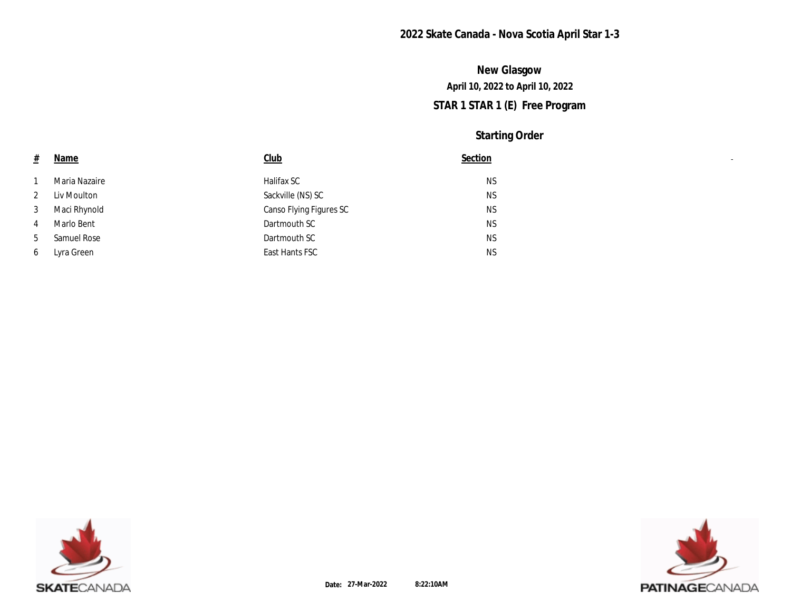# **STAR 1 STAR 1 (E) Free Program April 10, 2022 to April 10, 2022 New Glasgow**

| $\pm$          | <u>Name</u>   | <b>Club</b>             | Section   |
|----------------|---------------|-------------------------|-----------|
|                | Maria Nazaire | Halifax SC              | NS        |
| $\mathbf{2}$   | Liv Moulton   | Sackville (NS) SC       | <b>NS</b> |
| 3              | Maci Rhynold  | Canso Flying Figures SC | NS        |
| $\overline{4}$ | Marlo Bent    | Dartmouth SC            | NS        |
| $5^{\circ}$    | Samuel Rose   | Dartmouth SC            | NS        |
| 6              | Lyra Green    | East Hants FSC          | <b>NS</b> |



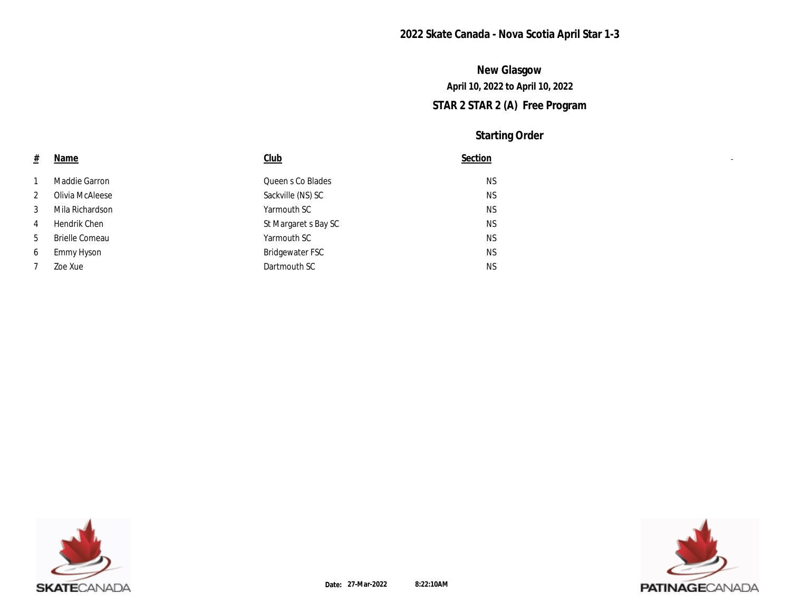# **STAR 2 STAR 2 (A) Free Program April 10, 2022 to April 10, 2022 New Glasgow**

| 坓            | <b>Name</b>           | Club                 | Section   |
|--------------|-----------------------|----------------------|-----------|
| 1            | Maddie Garron         | Queen s Co Blades    | NS        |
| $\mathbf{2}$ | Olivia McAleese       | Sackville (NS) SC    | <b>NS</b> |
| 3            | Mila Richardson       | Yarmouth SC          | NS        |
| 4            | Hendrik Chen          | St Margaret s Bay SC | <b>NS</b> |
| 5            | <b>Brielle Comeau</b> | Yarmouth SC          | <b>NS</b> |
| 6            | Emmy Hyson            | Bridgewater FSC      | <b>NS</b> |
| 7            | Zoe Xue               | Dartmouth SC         | NS        |



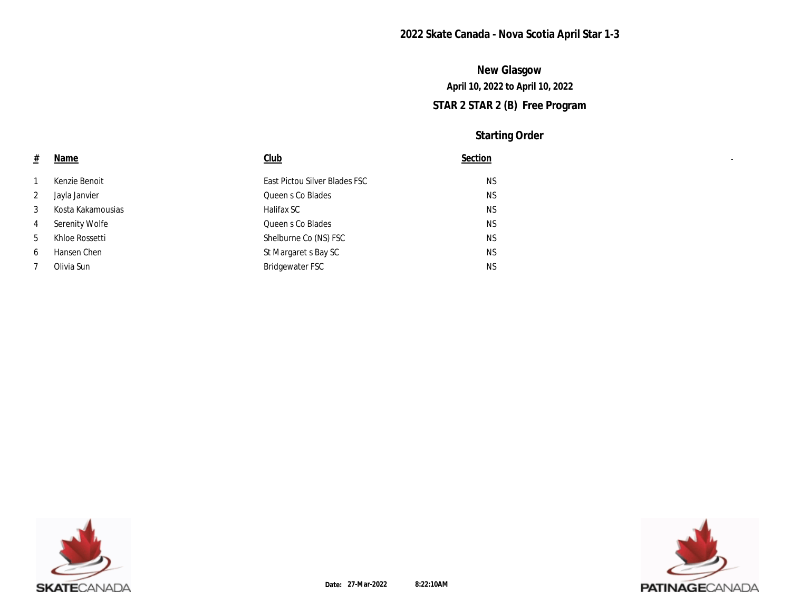# **STAR 2 STAR 2 (B) Free Program April 10, 2022 to April 10, 2022 New Glasgow**

| <b>Name</b>           | Club                          | Section   |
|-----------------------|-------------------------------|-----------|
| Kenzie Benoit         | East Pictou Silver Blades FSC | <b>NS</b> |
| Jayla Janvier         | Queen s Co Blades             | <b>NS</b> |
| Kosta Kakamousias     | Halifax SC                    | <b>NS</b> |
| <b>Serenity Wolfe</b> | Queen s Co Blades             | <b>NS</b> |
| Khloe Rossetti        | Shelburne Co (NS) FSC         | <b>NS</b> |
| Hansen Chen           | St Margaret s Bay SC          | <b>NS</b> |
| Olivia Sun            | Bridgewater FSC               | <b>NS</b> |
|                       |                               |           |



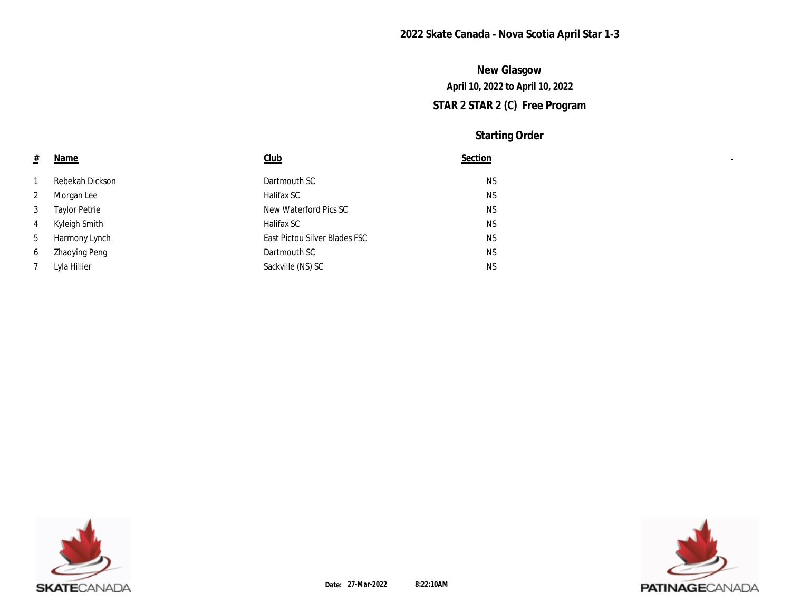# **STAR 2 STAR 2 (C) Free Program April 10, 2022 to April 10, 2022 New Glasgow**

| # | <u>Name</u>          | Club                          | Section   |
|---|----------------------|-------------------------------|-----------|
|   | Rebekah Dickson      | Dartmouth SC                  | <b>NS</b> |
| 2 | Morgan Lee           | Halifax SC                    | <b>NS</b> |
| 3 | <b>Taylor Petrie</b> | New Waterford Pics SC         | <b>NS</b> |
| 4 | Kyleigh Smith        | Halifax SC                    | <b>NS</b> |
| 5 | Harmony Lynch        | East Pictou Silver Blades FSC | <b>NS</b> |
| 6 | <b>Zhaoying Peng</b> | Dartmouth SC                  | <b>NS</b> |
| 7 | Lyla Hillier         | Sackville (NS) SC             | <b>NS</b> |



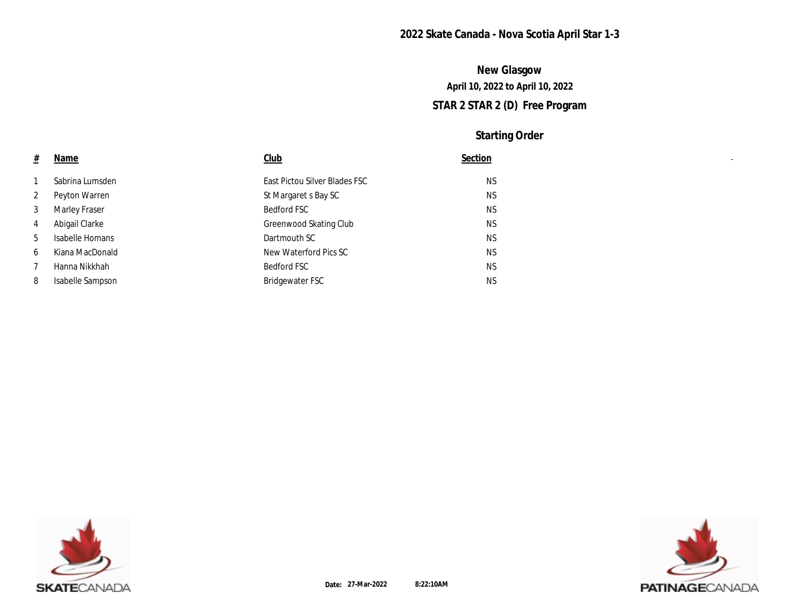# **STAR 2 STAR 2 (D) Free Program April 10, 2022 to April 10, 2022 New Glasgow**

| $\pm$        | Name             | Club                          | Section   |
|--------------|------------------|-------------------------------|-----------|
|              | Sabrina Lumsden  | East Pictou Silver Blades FSC | <b>NS</b> |
| $\mathbf{2}$ | Peyton Warren    | St Margaret s Bay SC          | <b>NS</b> |
| 3            | Marley Fraser    | Bedford FSC                   | <b>NS</b> |
| 4            | Abigail Clarke   | Greenwood Skating Club        | <b>NS</b> |
| 5            | Isabelle Homans  | Dartmouth SC                  | <b>NS</b> |
| 6            | Kiana MacDonald  | New Waterford Pics SC         | <b>NS</b> |
| 7            | Hanna Nikkhah    | Bedford FSC                   | <b>NS</b> |
| 8            | Isabelle Sampson | Bridgewater FSC               | <b>NS</b> |



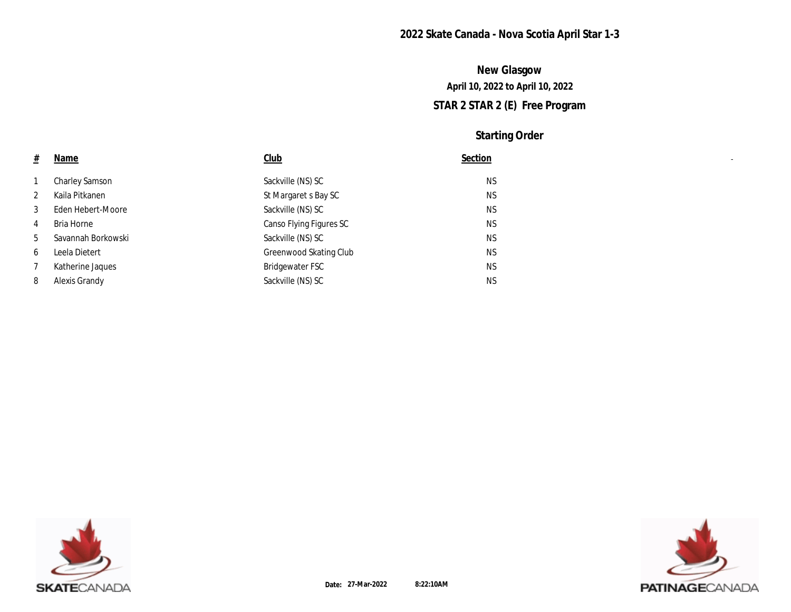# **STAR 2 STAR 2 (E) Free Program April 10, 2022 to April 10, 2022 New Glasgow**

| #              | <u>Name</u>           | Club                    | Section   |
|----------------|-----------------------|-------------------------|-----------|
| 1              | <b>Charley Samson</b> | Sackville (NS) SC       | <b>NS</b> |
| $\mathbf{2}$   | Kaila Pitkanen        | St Margaret s Bay SC    | <b>NS</b> |
| 3              | Eden Hebert-Moore     | Sackville (NS) SC       | <b>NS</b> |
| $\overline{4}$ | Bria Horne            | Canso Flying Figures SC | <b>NS</b> |
| 5              | Savannah Borkowski    | Sackville (NS) SC       | <b>NS</b> |
| 6              | Leela Dietert         | Greenwood Skating Club  | <b>NS</b> |
| 7              | Katherine Jaques      | Bridgewater FSC         | <b>NS</b> |
| 8              | Alexis Grandy         | Sackville (NS) SC       | <b>NS</b> |



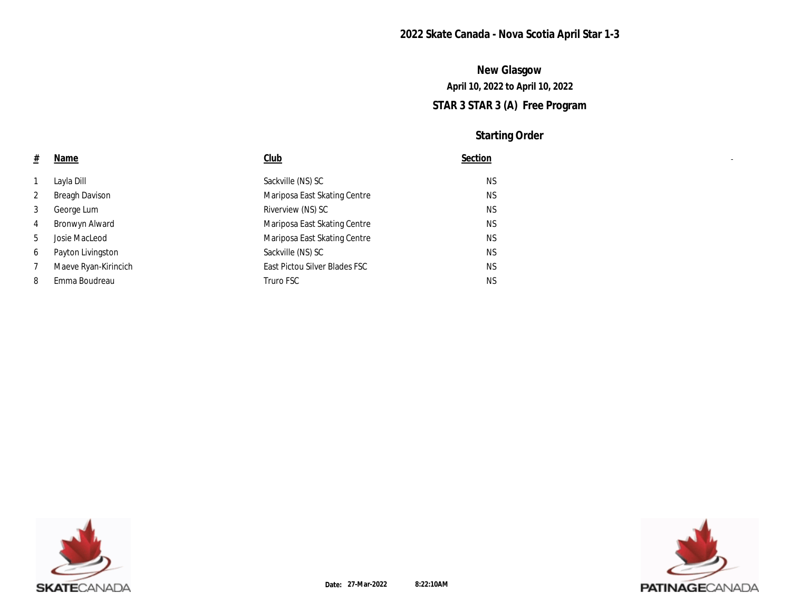# **STAR 3 STAR 3 (A) Free Program April 10, 2022 to April 10, 2022 New Glasgow**

| #               | <b>Name</b>           | Club                          | Section   |
|-----------------|-----------------------|-------------------------------|-----------|
| 1               | Lavla Dill            | Sackville (NS) SC             | NS        |
| $\mathbf{2}$    | <b>Breagh Davison</b> | Mariposa East Skating Centre  | NS        |
| 3               | George Lum            | Riverview (NS) SC             | <b>NS</b> |
| 4               | Bronwyn Alward        | Mariposa East Skating Centre  | NS        |
| $5\overline{)}$ | Josie MacLeod         | Mariposa East Skating Centre  | NS        |
| 6               | Payton Livingston     | Sackville (NS) SC             | NS        |
| 7               | Maeve Ryan-Kirincich  | East Pictou Silver Blades FSC | NS        |
| 8               | Emma Boudreau         | Truro FSC                     | <b>NS</b> |



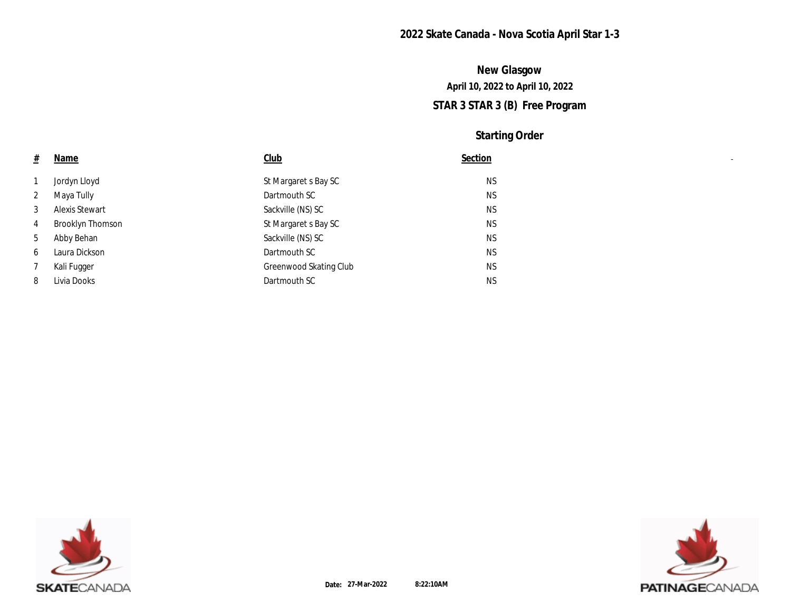# **STAR 3 STAR 3 (B) Free Program April 10, 2022 to April 10, 2022 New Glasgow**

| $\pm$          | <u>Name</u>             | Club                   | Section   |
|----------------|-------------------------|------------------------|-----------|
| 1              | Jordyn Lloyd            | St Margaret s Bay SC   | <b>NS</b> |
| $\mathbf{2}$   | Maya Tully              | Dartmouth SC           | <b>NS</b> |
| 3              | Alexis Stewart          | Sackville (NS) SC      | <b>NS</b> |
| $\overline{4}$ | <b>Brooklyn Thomson</b> | St Margaret s Bay SC   | <b>NS</b> |
| 5              | Abby Behan              | Sackville (NS) SC      | <b>NS</b> |
| 6              | Laura Dickson           | Dartmouth SC           | <b>NS</b> |
| 7              | Kali Fugger             | Greenwood Skating Club | <b>NS</b> |
| 8              | Livia Dooks             | Dartmouth SC           | <b>NS</b> |